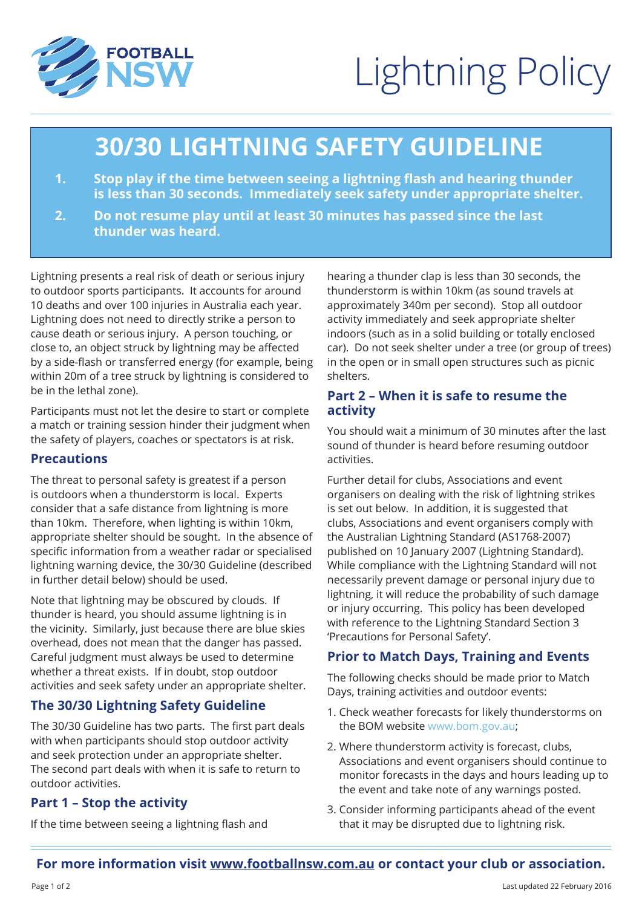

# Lightning Policy

# **30/30 LIGHTNING SAFETY GUIDELINE**

- **1. Stop play if the time between seeing a lightning flash and hearing thunder is less than 30 seconds. Immediately seek safety under appropriate shelter.**
- **2. Do not resume play until at least 30 minutes has passed since the last thunder was heard.**

Lightning presents a real risk of death or serious injury to outdoor sports participants. It accounts for around 10 deaths and over 100 injuries in Australia each year. Lightning does not need to directly strike a person to cause death or serious injury. A person touching, or close to, an object struck by lightning may be affected by a side-flash or transferred energy (for example, being within 20m of a tree struck by lightning is considered to be in the lethal zone).

Participants must not let the desire to start or complete a match or training session hinder their judgment when the safety of players, coaches or spectators is at risk.

#### **Precautions**

The threat to personal safety is greatest if a person is outdoors when a thunderstorm is local. Experts consider that a safe distance from lightning is more than 10km. Therefore, when lighting is within 10km, appropriate shelter should be sought. In the absence of specific information from a weather radar or specialised lightning warning device, the 30/30 Guideline (described in further detail below) should be used.

Note that lightning may be obscured by clouds. If thunder is heard, you should assume lightning is in the vicinity. Similarly, just because there are blue skies overhead, does not mean that the danger has passed. Careful judgment must always be used to determine whether a threat exists. If in doubt, stop outdoor activities and seek safety under an appropriate shelter.

# **The 30/30 Lightning Safety Guideline**

The 30/30 Guideline has two parts. The first part deals with when participants should stop outdoor activity and seek protection under an appropriate shelter. The second part deals with when it is safe to return to outdoor activities.

# **Part 1 – Stop the activity**

If the time between seeing a lightning flash and

hearing a thunder clap is less than 30 seconds, the thunderstorm is within 10km (as sound travels at approximately 340m per second). Stop all outdoor activity immediately and seek appropriate shelter indoors (such as in a solid building or totally enclosed car). Do not seek shelter under a tree (or group of trees) in the open or in small open structures such as picnic shelters.

#### **Part 2 – When it is safe to resume the activity**

You should wait a minimum of 30 minutes after the last sound of thunder is heard before resuming outdoor activities.

Further detail for clubs, Associations and event organisers on dealing with the risk of lightning strikes is set out below. In addition, it is suggested that clubs, Associations and event organisers comply with the Australian Lightning Standard (AS1768-2007) published on 10 January 2007 (Lightning Standard). While compliance with the Lightning Standard will not necessarily prevent damage or personal injury due to lightning, it will reduce the probability of such damage or injury occurring. This policy has been developed with reference to the Lightning Standard Section 3 'Precautions for Personal Safety'.

# **Prior to Match Days, Training and Events**

The following checks should be made prior to Match Days, training activities and outdoor events:

- 1. Check weather forecasts for likely thunderstorms on the BOM website www.bom.gov.au;
- 2. Where thunderstorm activity is forecast, clubs, Associations and event organisers should continue to monitor forecasts in the days and hours leading up to the event and take note of any warnings posted.
- 3. Consider informing participants ahead of the event that it may be disrupted due to lightning risk.

#### **For more information visit www.footballnsw.com.au or contact your club or association.**